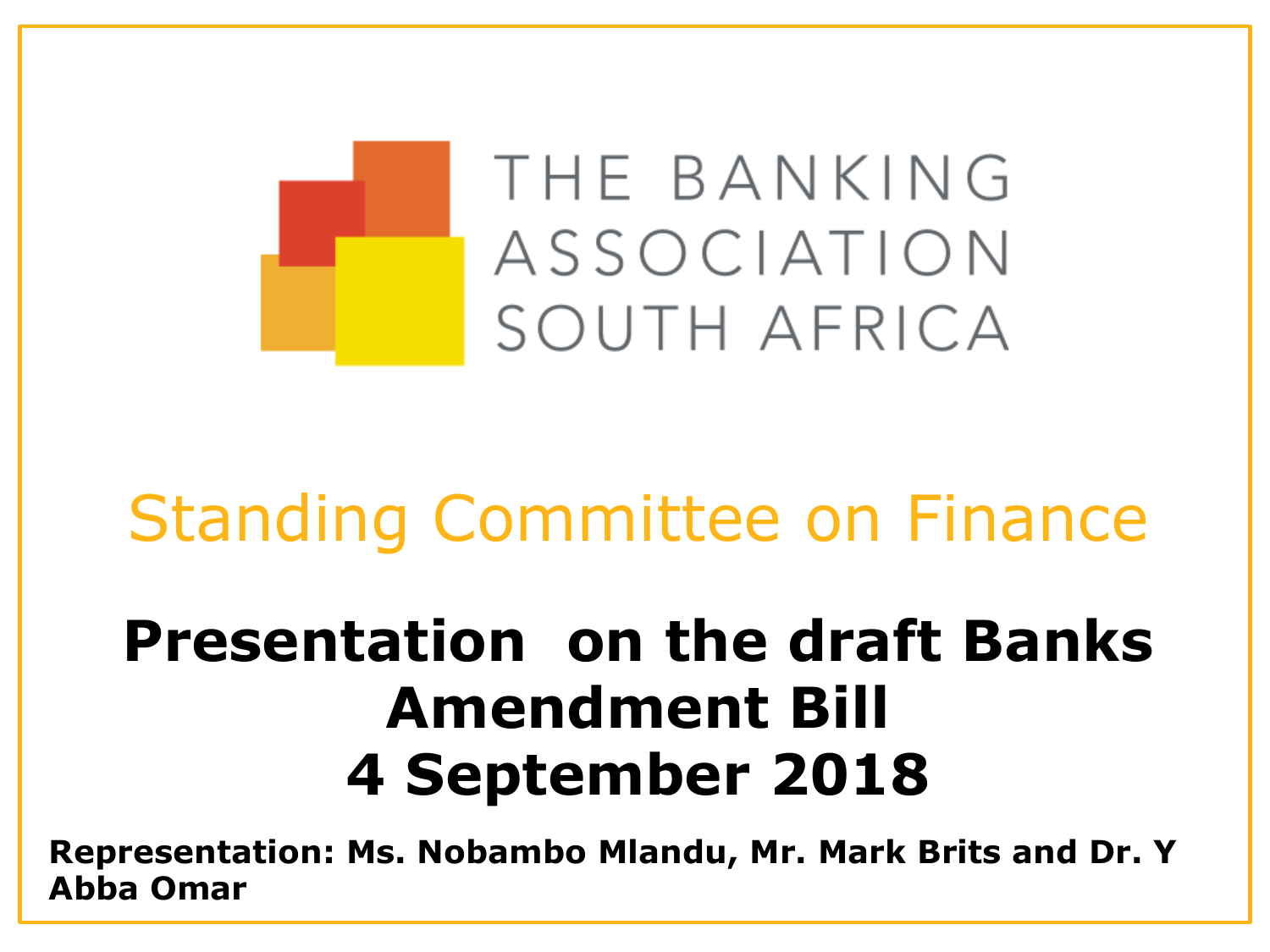

## Standing Committee on Finance

## **Presentation on the draft Banks Amendment Bill 4 September 2018**

**Representation: Ms. Nobambo Mlandu, Mr. Mark Brits and Dr. Y Abba Omar**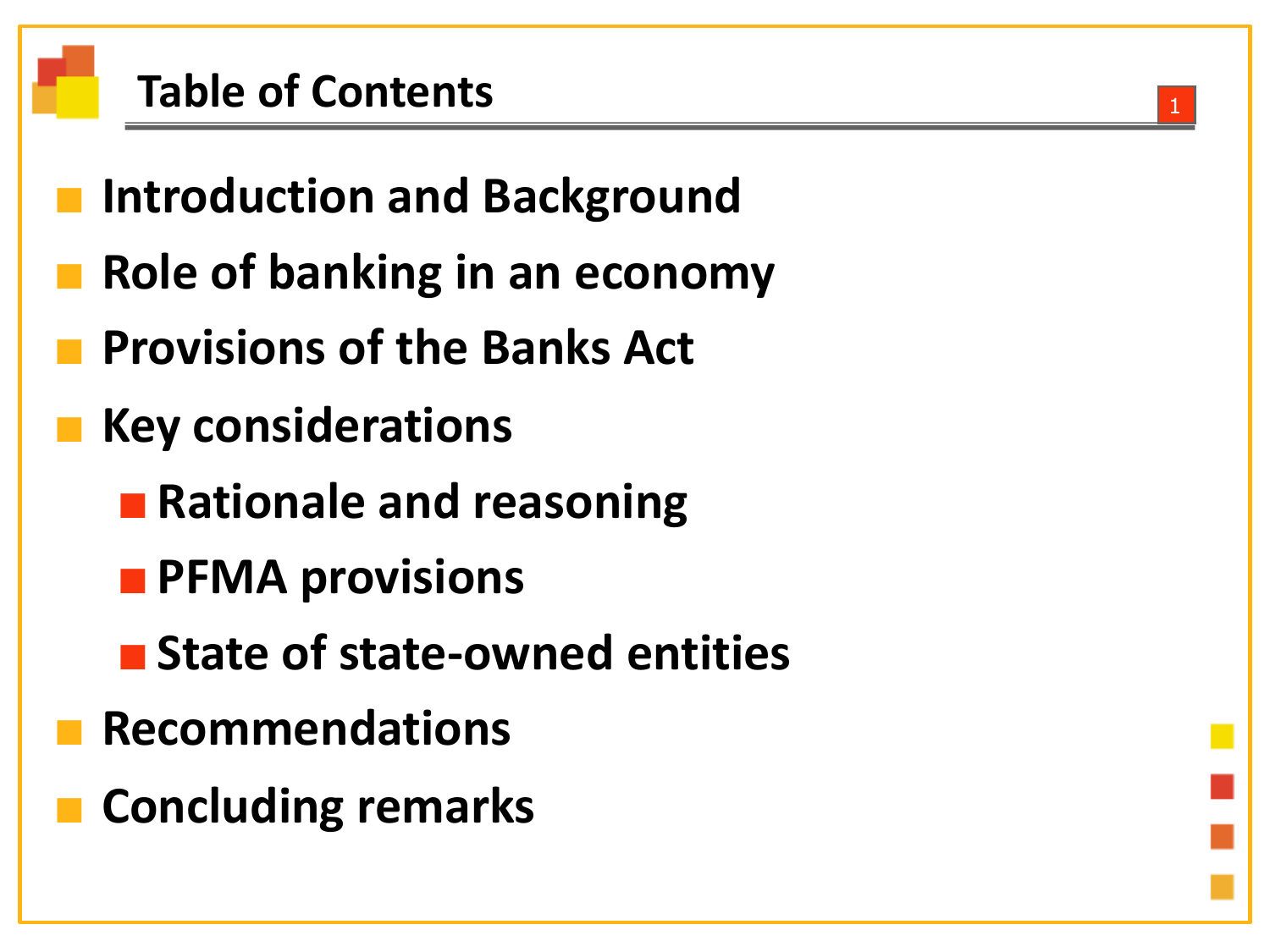#### **Table of Contents**

- **Introduction and Background**
- **Role of banking in an economy**
- **Provisions of the Banks Act**
- **Key considerations**
	- Rationale and reasoning
	- ■**PFMA provisions**
	- State of state-owned entities
- **Recommendations**
- **Concluding remarks**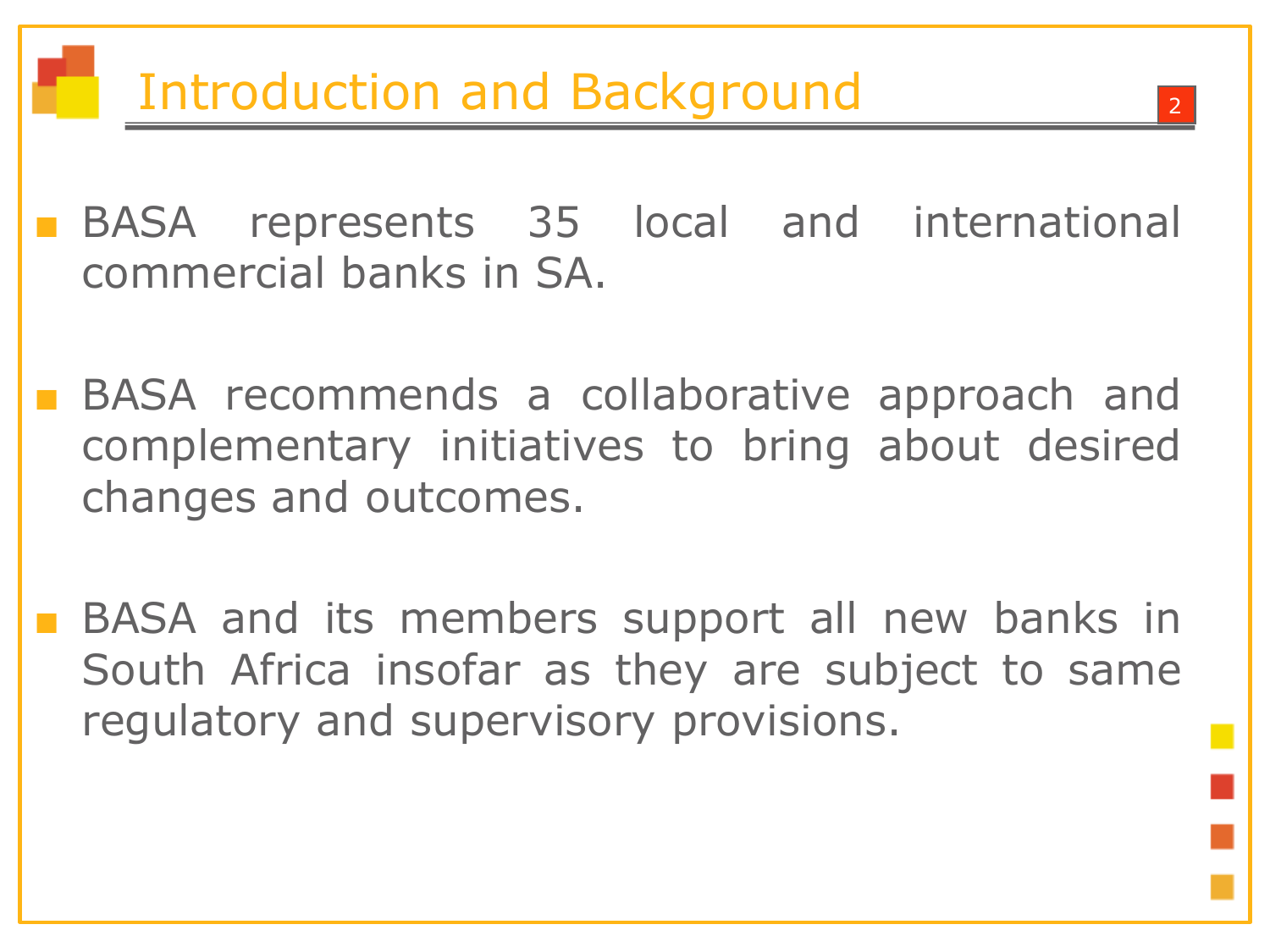■ BASA represents 35 local and international commercial banks in SA.

■ BASA recommends a collaborative approach and complementary initiatives to bring about desired changes and outcomes.

■ BASA and its members support all new banks in South Africa insofar as they are subject to same regulatory and supervisory provisions.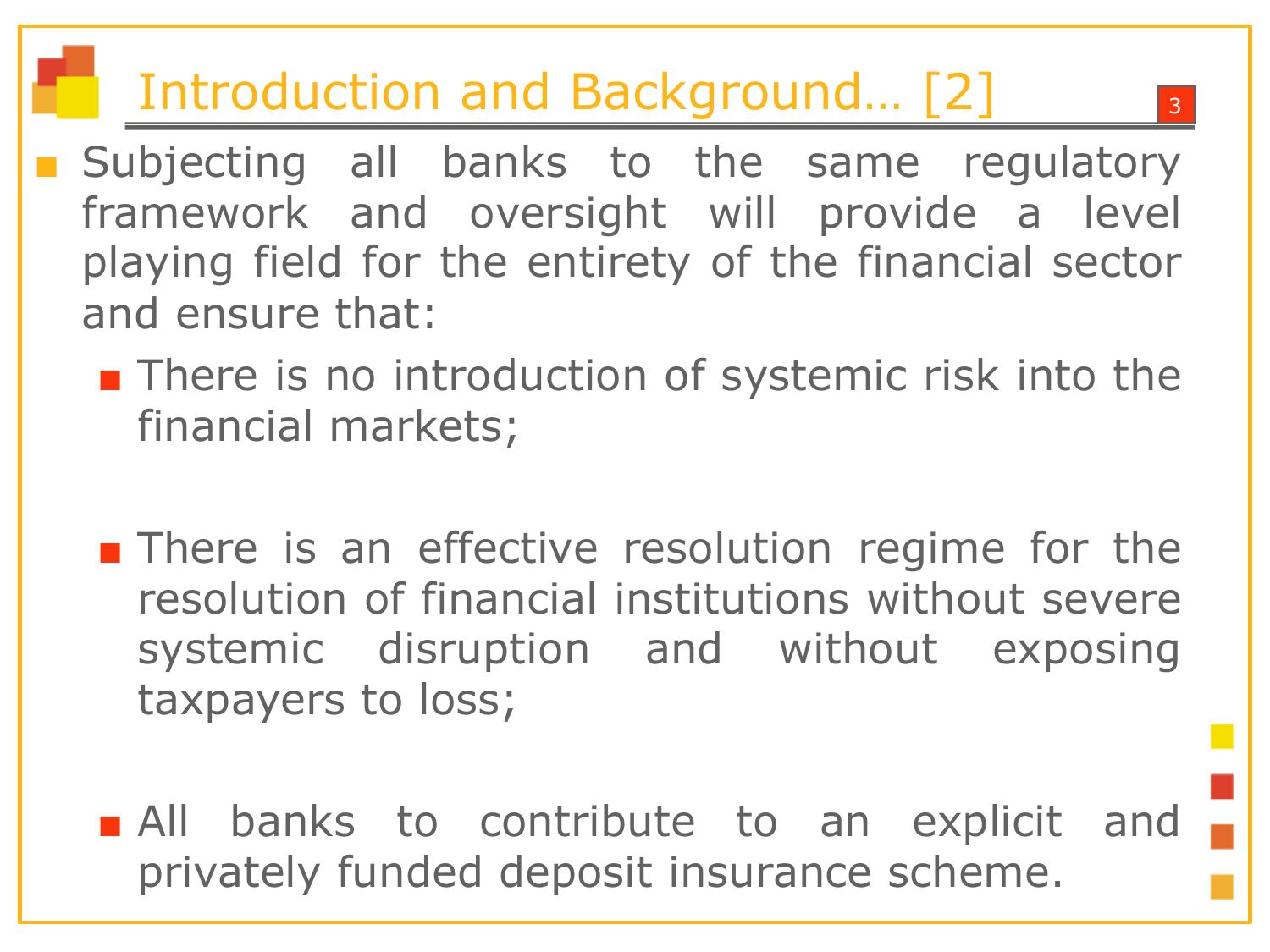### Introduction and Background... [2]

- Subjecting all banks to the same regulatory framework and oversight will provide a level playing field for the entirety of the financial sector and ensure that:
	- There is no introduction of systemic risk into the financial markets;
	- There is an effective resolution regime for the resolution of financial institutions without severe systemic disruption and without exposing taxpayers to loss;
	- All banks to contribute to an explicit and privately funded deposit insurance scheme.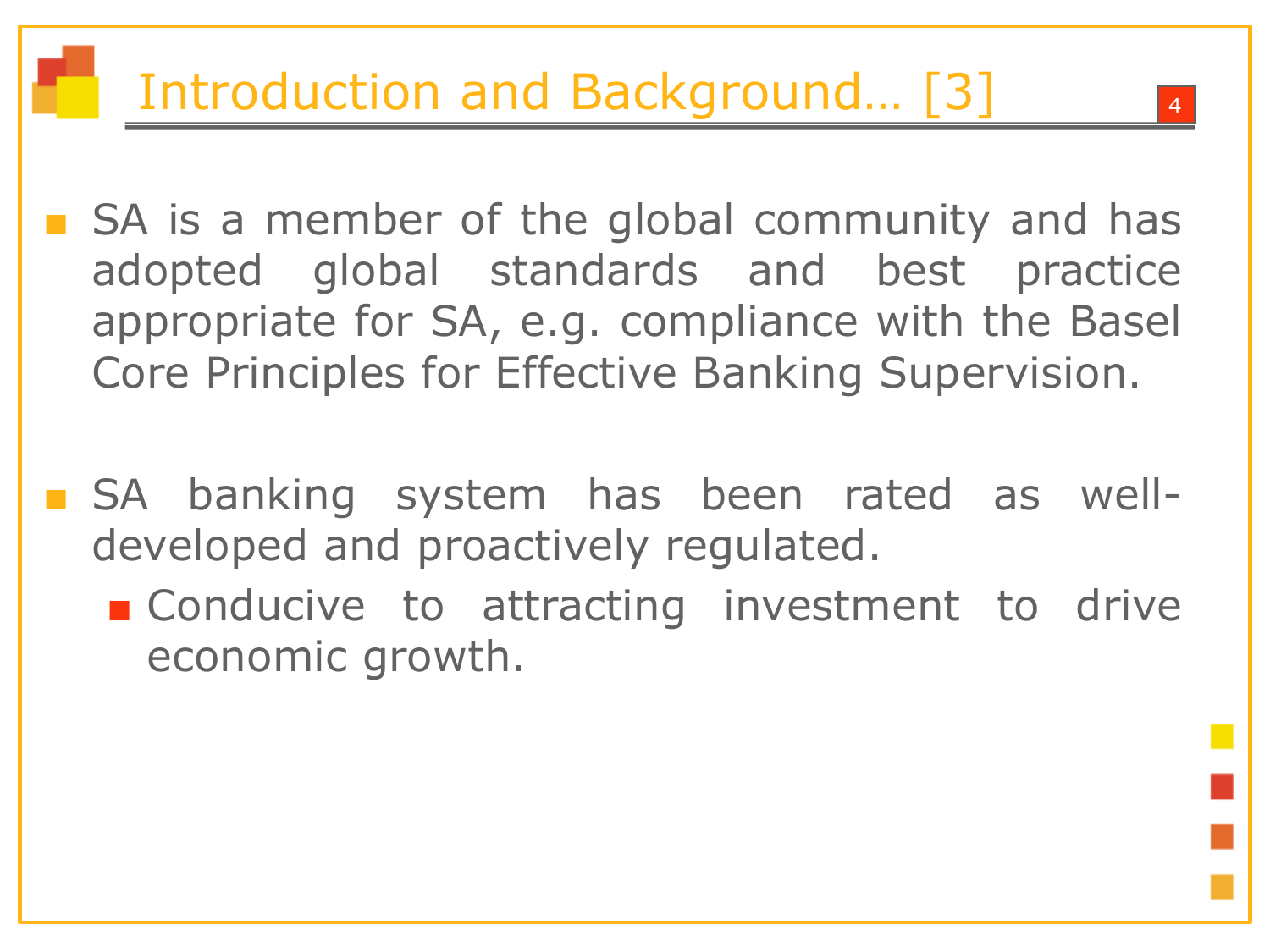#### Introduction and Background... [3]

- SA is a member of the global community and has adopted global standards and best practice appropriate for SA, e.g. compliance with the Basel Core Principles for Effective Banking Supervision.
- SA banking system has been rated as welldeveloped and proactively regulated.
	- Conducive to attracting investment to drive economic growth.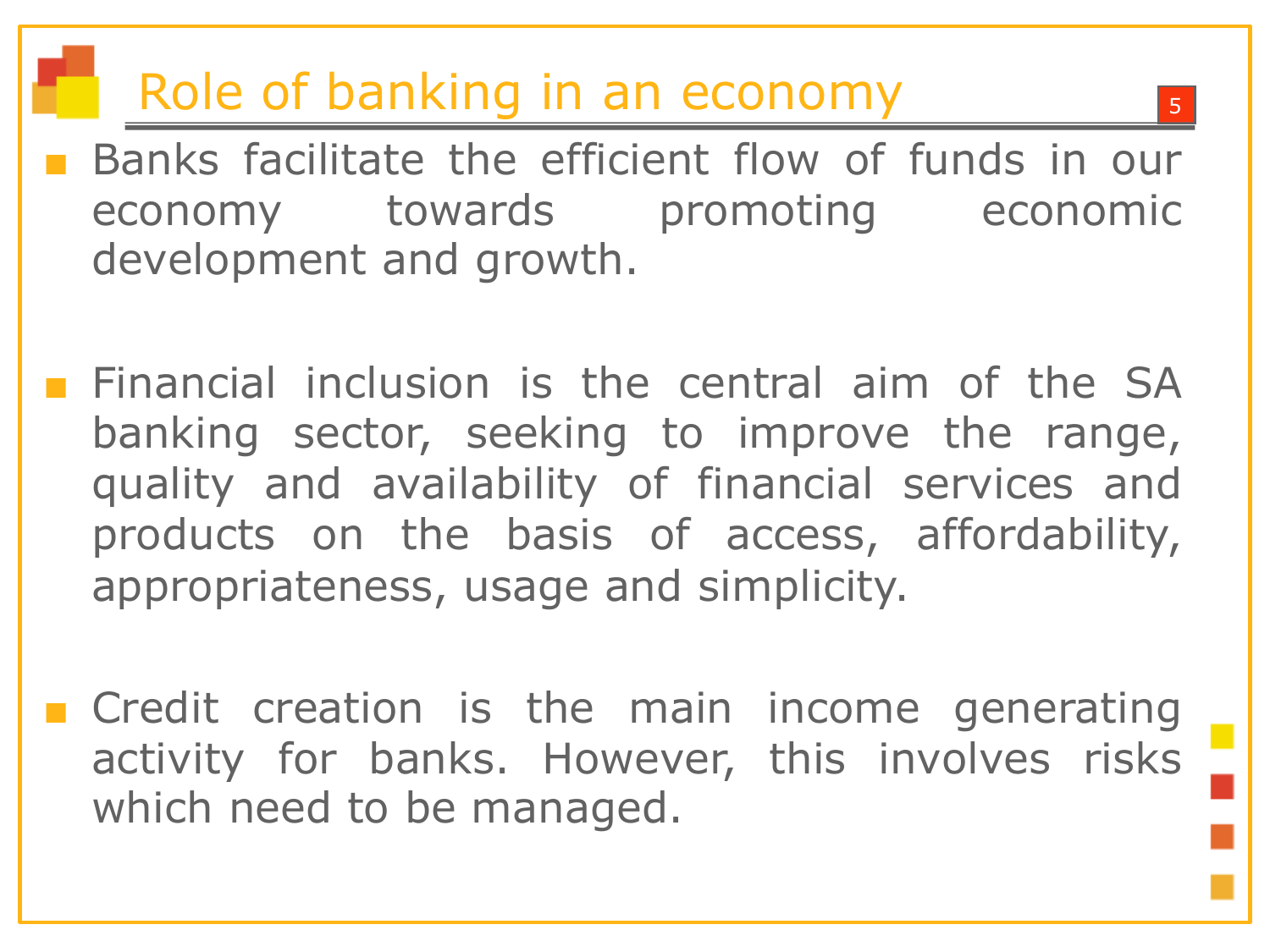#### Role of banking in an economy

- Banks facilitate the efficient flow of funds in our economy towards promoting economic development and growth.
- **Financial inclusion is the central aim of the SA** banking sector, seeking to improve the range, quality and availability of financial services and products on the basis of access, affordability, appropriateness, usage and simplicity.
- Credit creation is the main income generating activity for banks. However, this involves risks which need to be managed.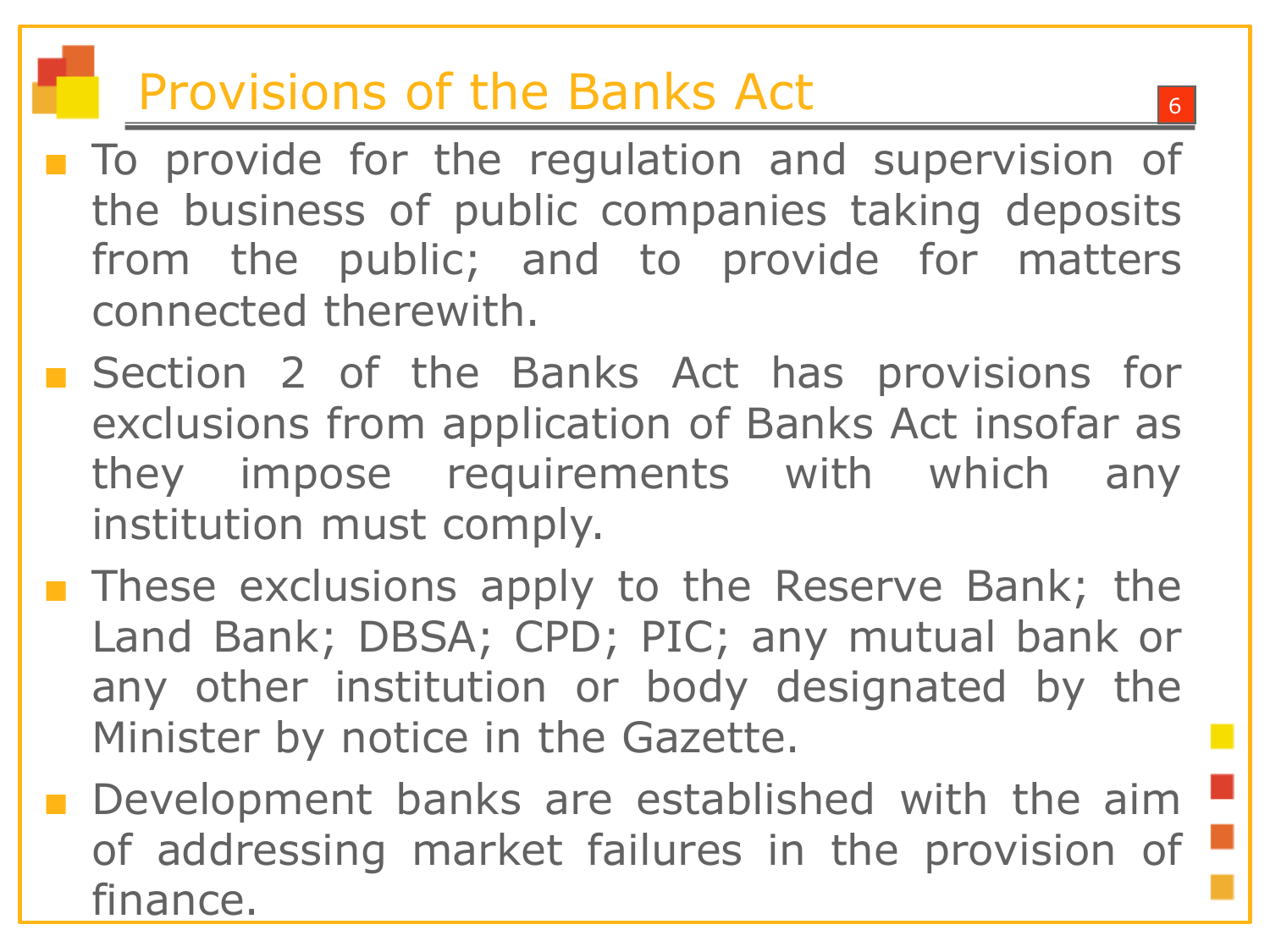#### Provisions of the Banks Act

- To provide for the regulation and supervision of the business of public companies taking deposits from the public; and to provide for matters connected therewith.
- Section 2 of the Banks Act has provisions for exclusions from application of Banks Act insofar as they impose requirements with which any institution must comply.
- These exclusions apply to the Reserve Bank; the Land Bank; DBSA; CPD; PIC; any mutual bank or any other institution or body designated by the Minister by notice in the Gazette.
- Development banks are established with the aim of addressing market failures in the provision of finance.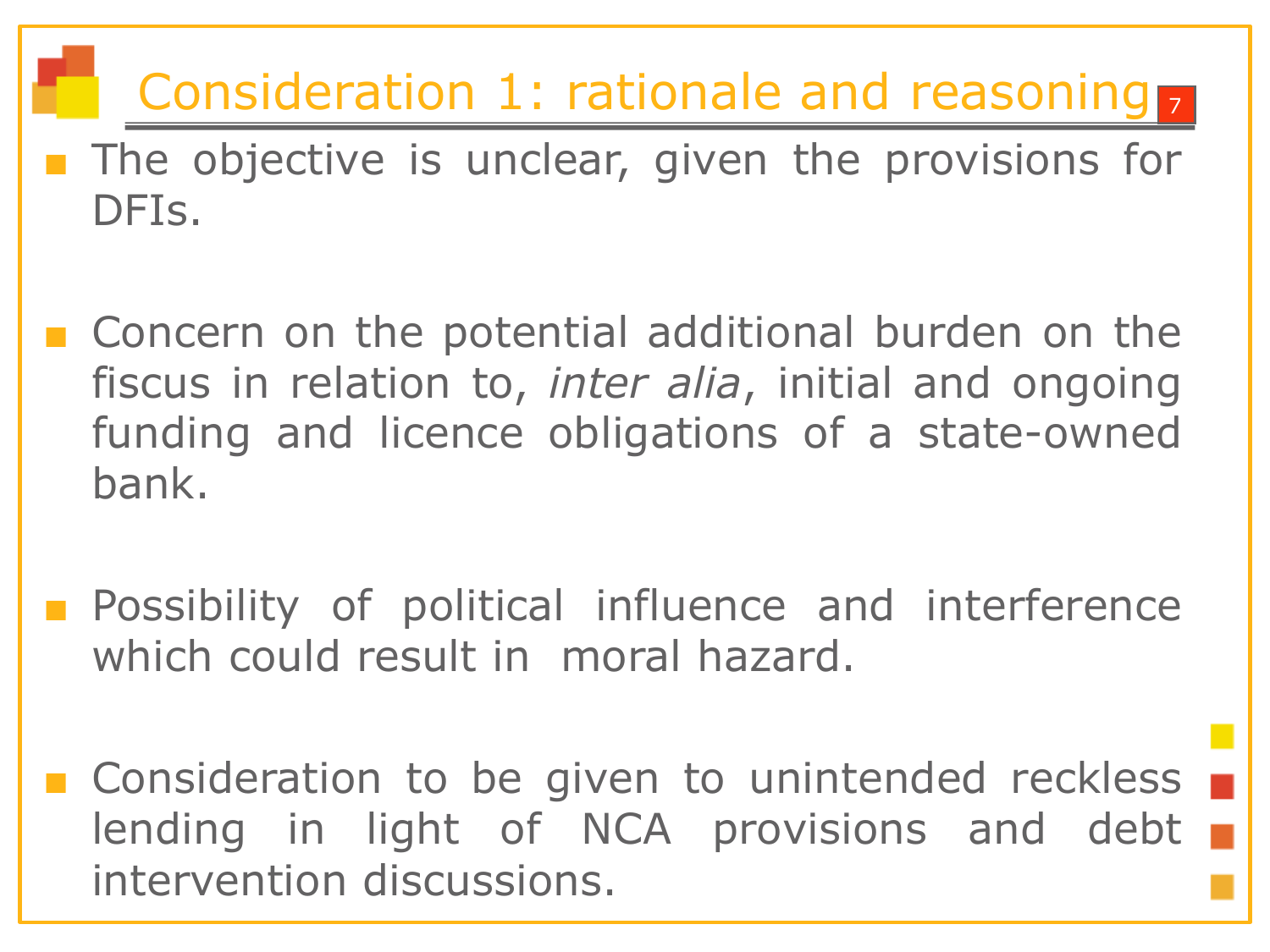#### Consideration 1: rationale and reasoning

- The objective is unclear, given the provisions for DFIs.
- Concern on the potential additional burden on the fiscus in relation to, *inter alia*, initial and ongoing funding and licence obligations of a state-owned bank.
- Possibility of political influence and interference which could result in moral hazard.

■ Consideration to be given to unintended reckless lending in light of NCA provisions and debt intervention discussions.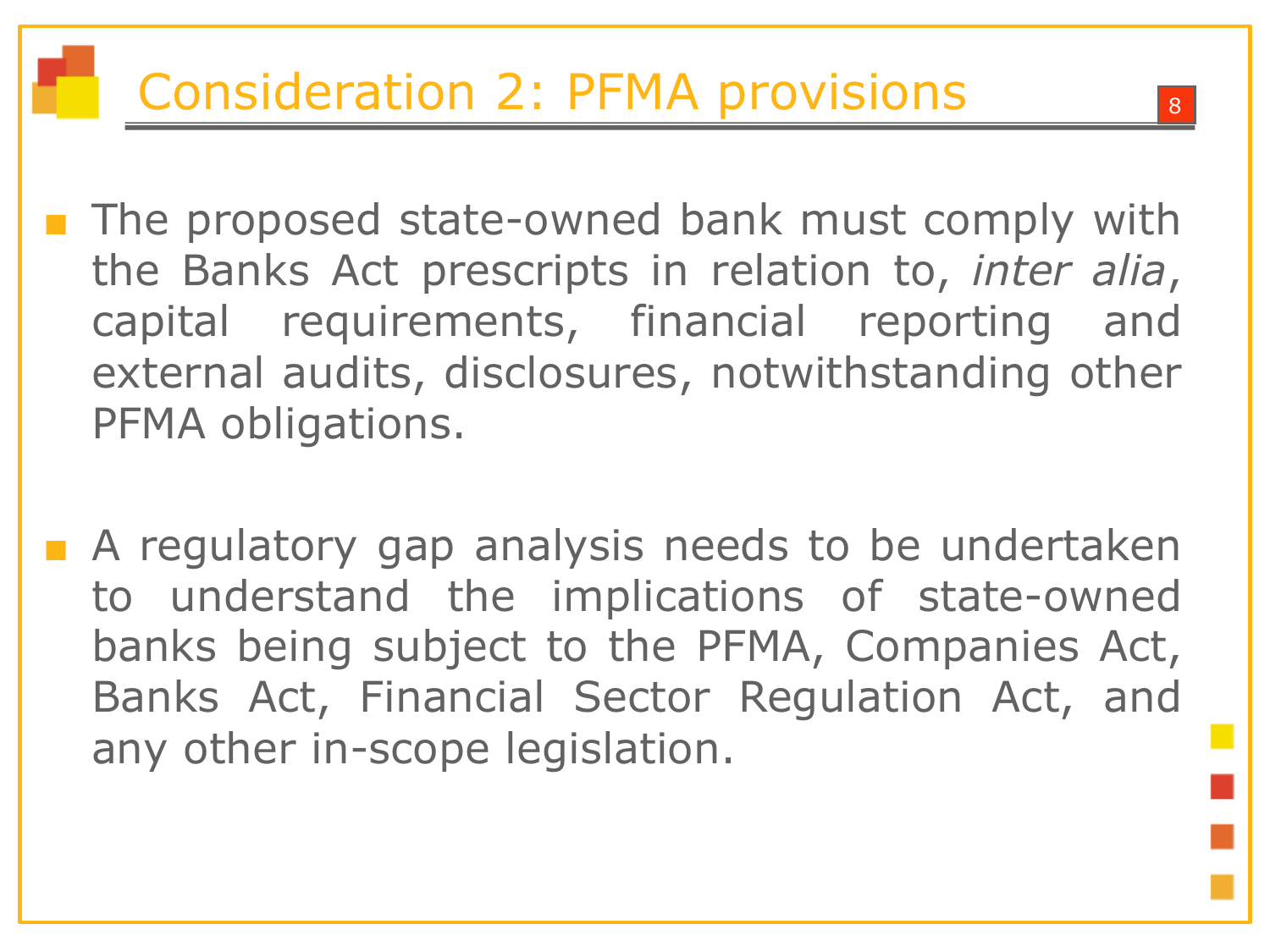- The proposed state-owned bank must comply with the Banks Act prescripts in relation to, *inter alia*, capital requirements, financial reporting and external audits, disclosures, notwithstanding other PFMA obligations.
- A regulatory gap analysis needs to be undertaken to understand the implications of state-owned banks being subject to the PFMA, Companies Act, Banks Act, Financial Sector Regulation Act, and any other in-scope legislation.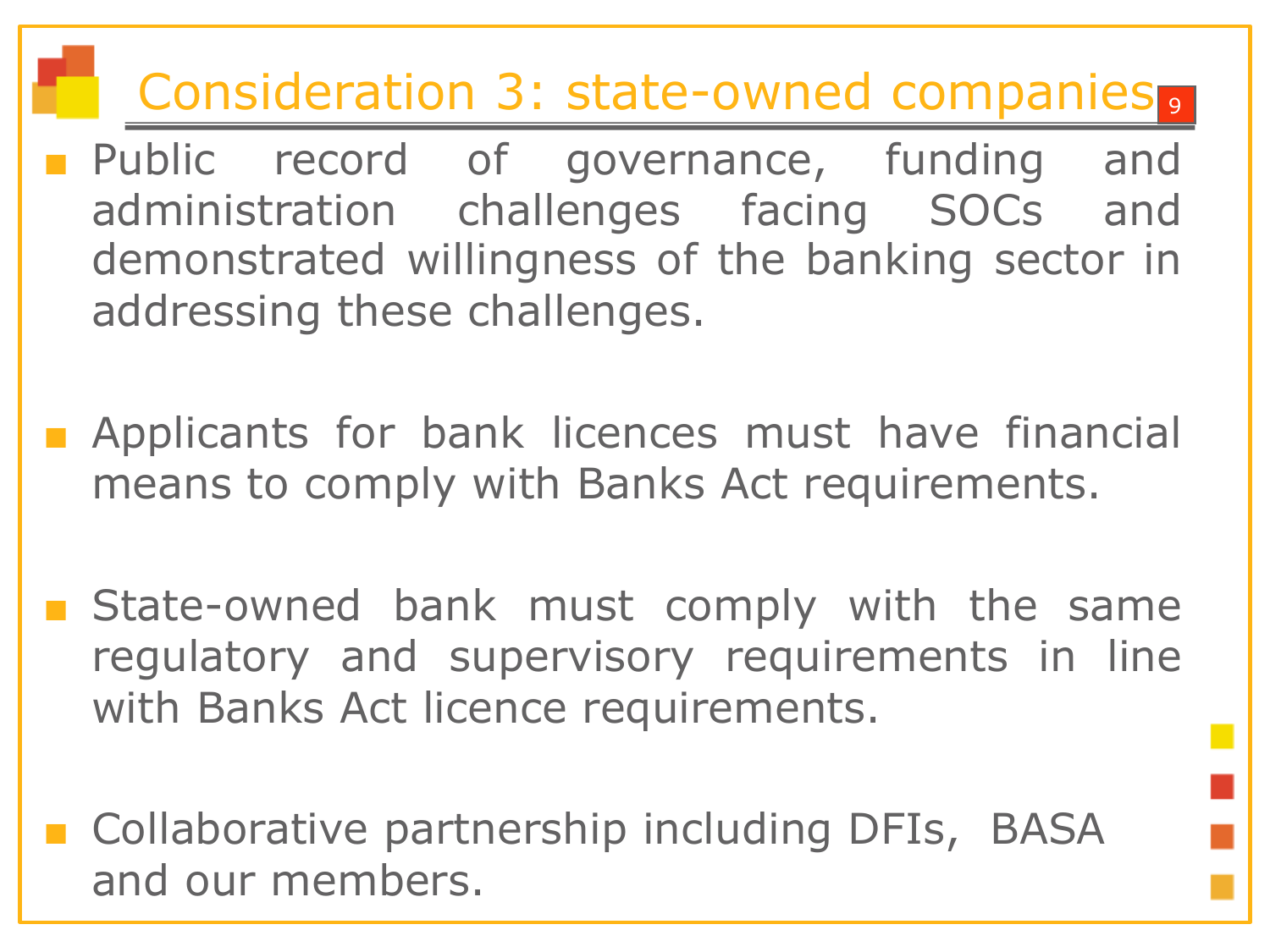#### Consideration 3: state-owned companies.

- Public record of governance, funding and administration challenges facing SOCs and demonstrated willingness of the banking sector in addressing these challenges.
- Applicants for bank licences must have financial means to comply with Banks Act requirements.
- State-owned bank must comply with the same regulatory and supervisory requirements in line with Banks Act licence requirements.
- Collaborative partnership including DFIs, BASA and our members.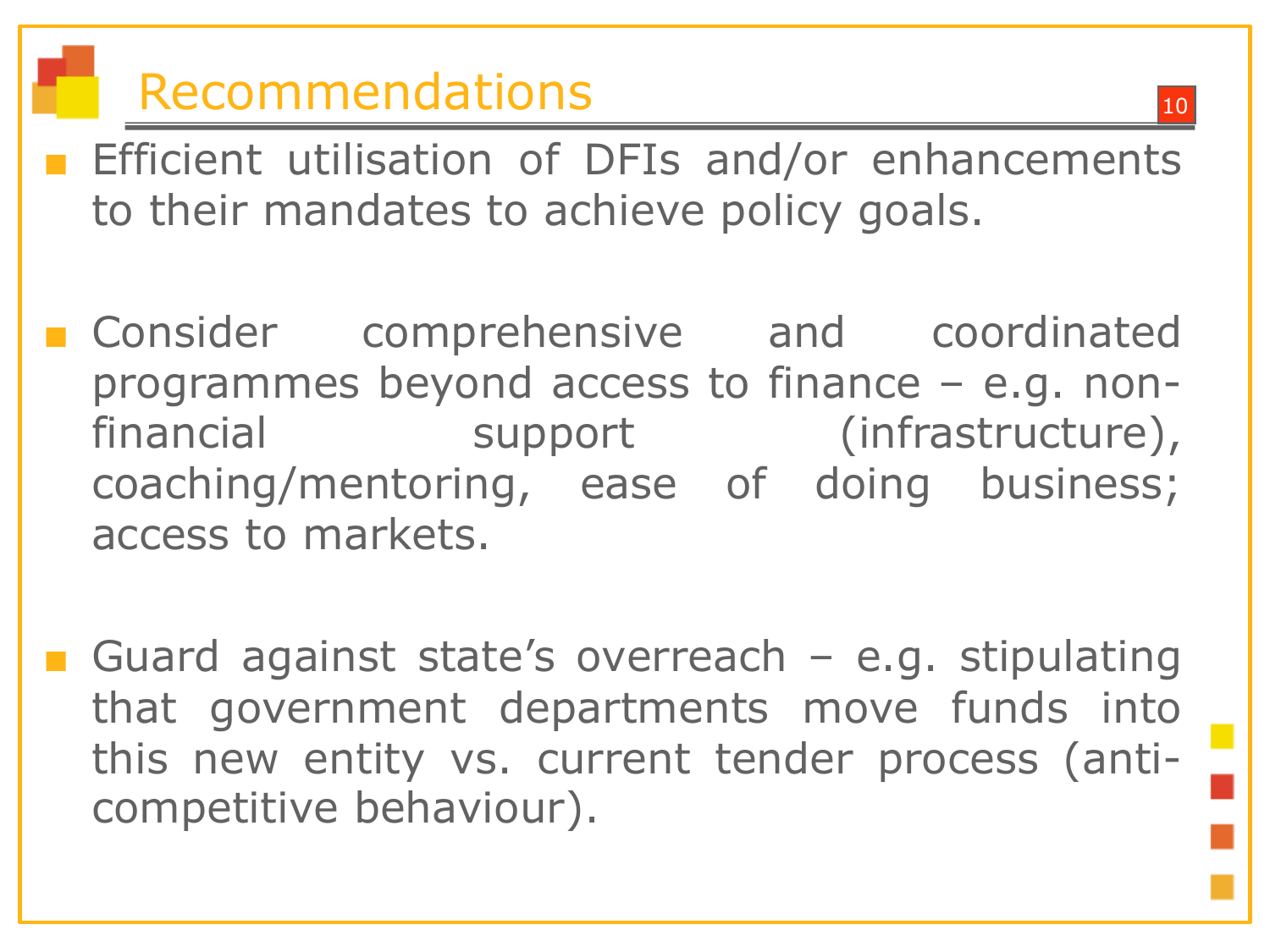## Recommendations

- Efficient utilisation of DFIs and/or enhancements to their mandates to achieve policy goals.
- Consider comprehensive and coordinated programmes beyond access to finance – e.g. nonfinancial support (infrastructure), coaching/mentoring, ease of doing business; access to markets.
- Guard against state's overreach  $-$  e.g. stipulating that government departments move funds into this new entity vs. current tender process (anticompetitive behaviour).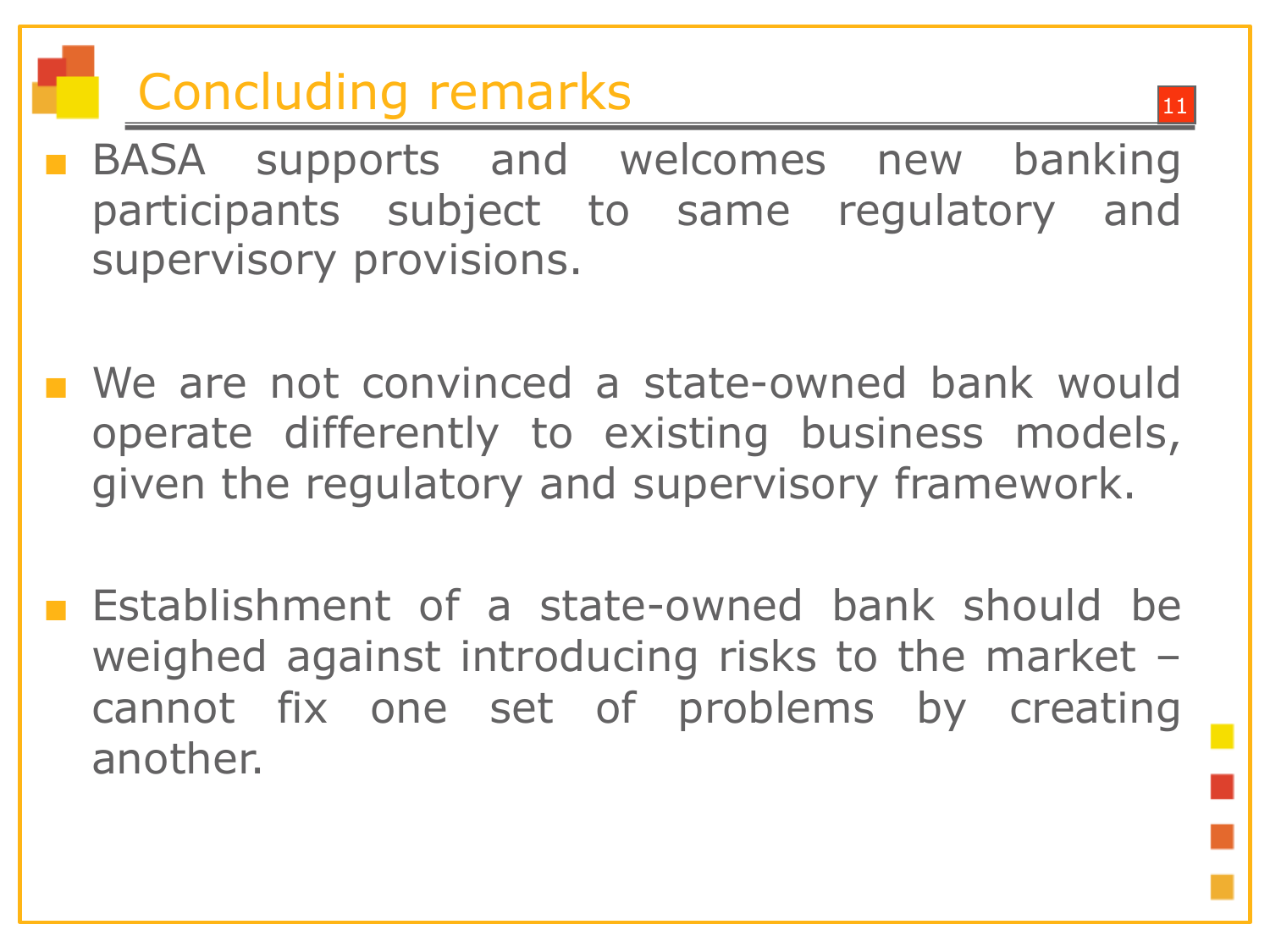## **Concluding remarks**

- BASA supports and welcomes new banking participants subject to same regulatory and supervisory provisions.
- We are not convinced a state-owned bank would operate differently to existing business models, given the regulatory and supervisory framework.
- Establishment of a state-owned bank should be weighed against introducing risks to the market – cannot fix one set of problems by creating another.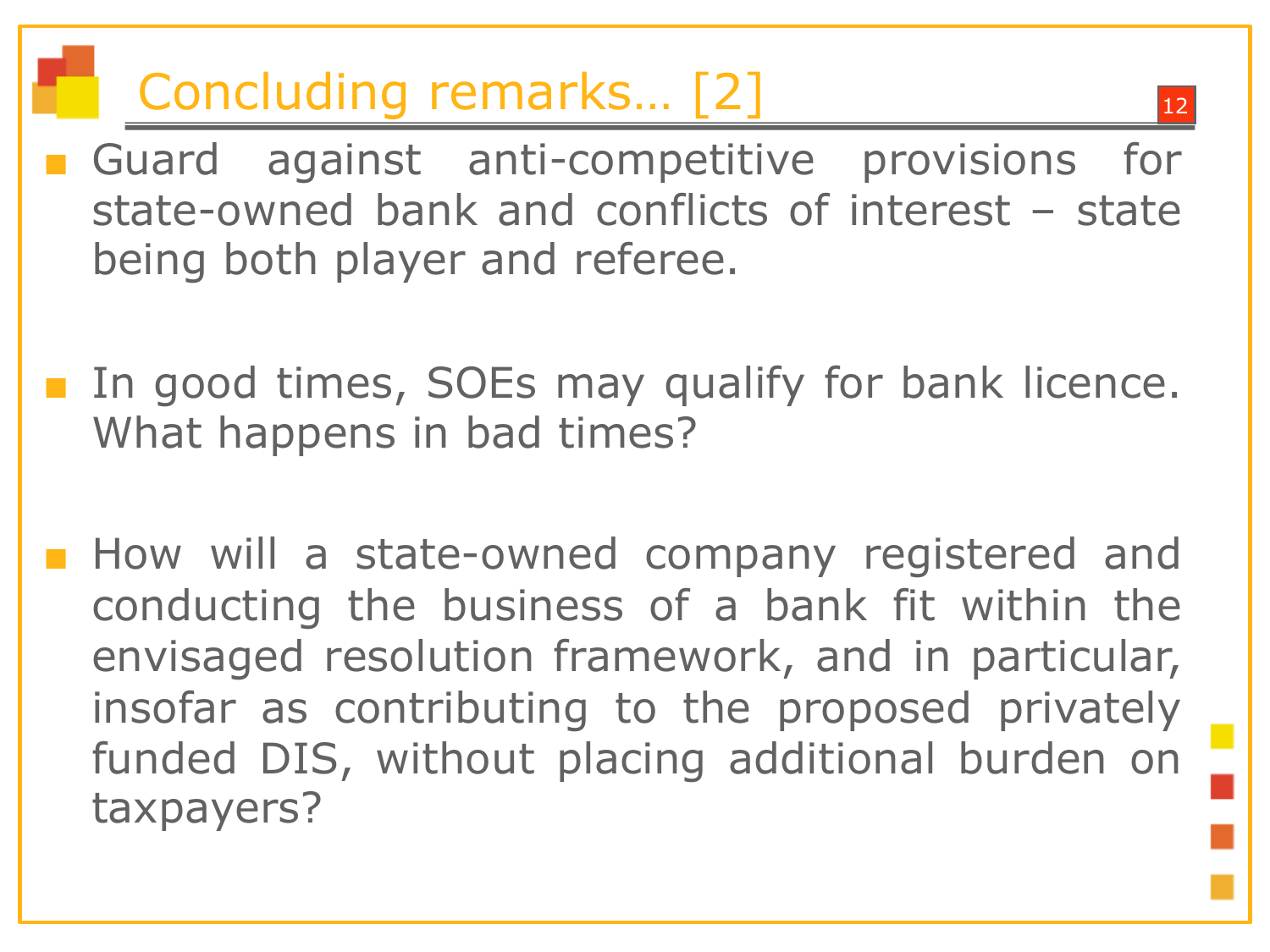### Concluding remarks... [2]

- Guard against anti-competitive provisions for state-owned bank and conflicts of interest – state being both player and referee.
- In good times, SOEs may qualify for bank licence. What happens in bad times?
- How will a state-owned company registered and conducting the business of a bank fit within the envisaged resolution framework, and in particular, insofar as contributing to the proposed privately funded DIS, without placing additional burden on taxpayers?